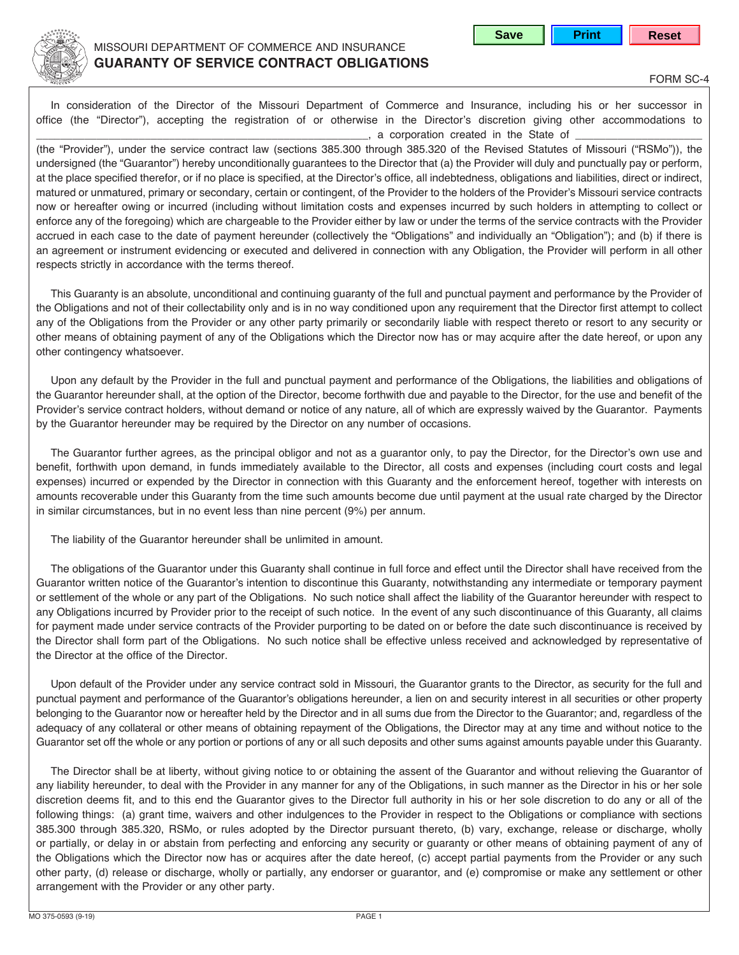

## MISSOURI DEPARTMENT OF COMMERCE AND INSURANCE **GUARANTY OF SERVICE CONTRACT OBLIGATIONS**

**Save | Print | Reset** 

FORM SC-4

In consideration of the Director of the Missouri Department of Commerce and Insurance, including his or her successor in office (the "Director"), accepting the registration of or otherwise in the Director's discretion giving other accommodations to \_, a corporation created in the State of

(the "Provider"), under the service contract law (sections 385.300 through 385.320 of the Revised Statutes of Missouri ("RSMo")), the undersigned (the "Guarantor") hereby unconditionally guarantees to the Director that (a) the Provider will duly and punctually pay or perform, at the place specified therefor, or if no place is specified, at the Director's office, all indebtedness, obligations and liabilities, direct or indirect, matured or unmatured, primary or secondary, certain or contingent, of the Provider to the holders of the Provider's Missouri service contracts now or hereafter owing or incurred (including without limitation costs and expenses incurred by such holders in attempting to collect or enforce any of the foregoing) which are chargeable to the Provider either by law or under the terms of the service contracts with the Provider accrued in each case to the date of payment hereunder (collectively the "Obligations" and individually an "Obligation"); and (b) if there is an agreement or instrument evidencing or executed and delivered in connection with any Obligation, the Provider will perform in all other respects strictly in accordance with the terms thereof.

This Guaranty is an absolute, unconditional and continuing guaranty of the full and punctual payment and performance by the Provider of the Obligations and not of their collectability only and is in no way conditioned upon any requirement that the Director first attempt to collect any of the Obligations from the Provider or any other party primarily or secondarily liable with respect thereto or resort to any security or other means of obtaining payment of any of the Obligations which the Director now has or may acquire after the date hereof, or upon any other contingency whatsoever.

Upon any default by the Provider in the full and punctual payment and performance of the Obligations, the liabilities and obligations of the Guarantor hereunder shall, at the option of the Director, become forthwith due and payable to the Director, for the use and benefit of the Provider's service contract holders, without demand or notice of any nature, all of which are expressly waived by the Guarantor. Payments by the Guarantor hereunder may be required by the Director on any number of occasions.

The Guarantor further agrees, as the principal obligor and not as a guarantor only, to pay the Director, for the Director's own use and benefit, forthwith upon demand, in funds immediately available to the Director, all costs and expenses (including court costs and legal expenses) incurred or expended by the Director in connection with this Guaranty and the enforcement hereof, together with interests on amounts recoverable under this Guaranty from the time such amounts become due until payment at the usual rate charged by the Director in similar circumstances, but in no event less than nine percent (9%) per annum.

The liability of the Guarantor hereunder shall be unlimited in amount.

The obligations of the Guarantor under this Guaranty shall continue in full force and effect until the Director shall have received from the Guarantor written notice of the Guarantor's intention to discontinue this Guaranty, notwithstanding any intermediate or temporary payment or settlement of the whole or any part of the Obligations. No such notice shall affect the liability of the Guarantor hereunder with respect to any Obligations incurred by Provider prior to the receipt of such notice. In the event of any such discontinuance of this Guaranty, all claims for payment made under service contracts of the Provider purporting to be dated on or before the date such discontinuance is received by the Director shall form part of the Obligations. No such notice shall be effective unless received and acknowledged by representative of the Director at the office of the Director.

Upon default of the Provider under any service contract sold in Missouri, the Guarantor grants to the Director, as security for the full and punctual payment and performance of the Guarantor's obligations hereunder, a lien on and security interest in all securities or other property belonging to the Guarantor now or hereafter held by the Director and in all sums due from the Director to the Guarantor; and, regardless of the adequacy of any collateral or other means of obtaining repayment of the Obligations, the Director may at any time and without notice to the Guarantor set off the whole or any portion or portions of any or all such deposits and other sums against amounts payable under this Guaranty.

The Director shall be at liberty, without giving notice to or obtaining the assent of the Guarantor and without relieving the Guarantor of any liability hereunder, to deal with the Provider in any manner for any of the Obligations, in such manner as the Director in his or her sole discretion deems fit, and to this end the Guarantor gives to the Director full authority in his or her sole discretion to do any or all of the following things: (a) grant time, waivers and other indulgences to the Provider in respect to the Obligations or compliance with sections 385.300 through 385.320, RSMo, or rules adopted by the Director pursuant thereto, (b) vary, exchange, release or discharge, wholly or partially, or delay in or abstain from perfecting and enforcing any security or guaranty or other means of obtaining payment of any of the Obligations which the Director now has or acquires after the date hereof, (c) accept partial payments from the Provider or any such other party, (d) release or discharge, wholly or partially, any endorser or guarantor, and (e) compromise or make any settlement or other arrangement with the Provider or any other party.